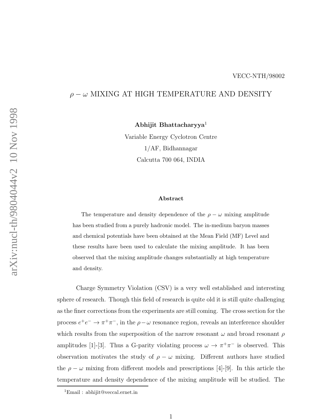## $\rho-\omega$  MIXING AT HIGH TEMPERATURE AND DENSITY

Abhijit Bhattacharyya 1

Variable Energy Cyclotron Centre 1/AF, Bidhannagar Calcutta 700 064, INDIA

## Abstract

The temperature and density dependence of the  $\rho - \omega$  mixing amplitude has been studied from a purely hadronic model. The in-medium baryon masses and chemical potentials have been obtained at the Mean Field (MF) Level and these results have been used to calculate the mixing amplitude. It has been observed that the mixing amplitude changes substantially at high temperature and density.

Charge Symmetry Violation (CSV) is a very well established and interesting sphere of research. Though this field of research is quite old it is still quite challenging as the finer corrections from the experiments are still coming. The cross section for the process  $e^+e^- \to \pi^+\pi^-$ , in the  $\rho-\omega$  resonance region, reveals an interference shoulder which results from the superposition of the narrow resonant  $\omega$  and broad resonant  $\rho$ amplitudes [1]-[3]. Thus a G-parity violating process  $\omega \to \pi^+\pi^-$  is observed. This observation motivates the study of  $\rho - \omega$  mixing. Different authors have studied the  $\rho - \omega$  mixing from different models and prescriptions [4]-[9]. In this article the temperature and density dependence of the mixing amplitude will be studied. The

<sup>1</sup>Email : abhijit@veccal.ernet.in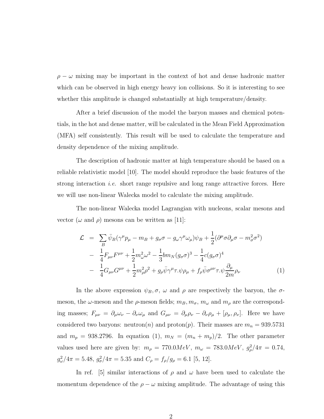$\rho - \omega$  mixing may be important in the context of hot and dense hadronic matter which can be observed in high energy heavy ion collisions. So it is interesting to see whether this amplitude is changed substantially at high temperature/density.

After a brief discussion of the model the baryon masses and chemical potentials, in the hot and dense matter, will be calculated in the Mean Field Approximation (MFA) self consistently. This result will be used to calculate the temperature and density dependence of the mixing amplitude.

The description of hadronic matter at high temperature should be based on a reliable relativistic model [10]. The model should reproduce the basic features of the strong interaction i.e. short range repulsive and long range attractive forces. Here we will use non-linear Walecka model to calculate the mixing amplitude.

The non-linear Walecka model Lagrangian with nucleons, scalar mesons and vector ( $\omega$  and  $\rho$ ) mesons can be written as [11]:

$$
\mathcal{L} = \sum_{B} \bar{\psi}_{B} (\gamma^{\mu} p_{\mu} - m_{B} + g_{\sigma} \sigma - g_{\omega} \gamma^{\mu} \omega_{\mu}) \psi_{B} + \frac{1}{2} (\partial^{\mu} \sigma \partial_{\mu} \sigma - m_{\sigma}^{2} \sigma^{2})
$$
  

$$
- \frac{1}{4} F_{\mu\nu} F^{\mu\nu} + \frac{1}{2} m_{\omega}^{2} \omega^{2} - \frac{1}{3} b m_{N} (g_{\sigma} \sigma)^{3} - \frac{1}{4} c (g_{\sigma} \sigma)^{4}
$$
  

$$
- \frac{1}{4} G_{\mu\nu} G^{\mu\nu} + \frac{1}{2} m_{\rho}^{2} \rho^{2} + g_{\rho} \bar{\psi} \gamma^{\mu} \tau . \psi \rho_{\mu} + f_{\rho} \bar{\psi} \sigma^{\mu\nu} \tau . \psi \frac{\partial_{\mu}}{2m} \rho_{\nu}
$$
(1)

In the above expression  $\psi_B, \sigma, \omega$  and  $\rho$  are respectively the baryon, the  $\sigma$ meson, the  $\omega$ -meson and the  $\rho$ -meson fields;  $m_B, m_\sigma, m_\omega$  and  $m_\rho$  are the corresponding masses;  $F_{\mu\nu} = \partial_{\mu}\omega_{\nu} - \partial_{\nu}\omega_{\mu}$  and  $G_{\mu\nu} = \partial_{\mu}\rho_{\nu} - \partial_{\nu}\rho_{\mu} + [\rho_{\mu}, \rho_{\nu}]$ . Here we have considered two baryons: neutron(*n*) and proton(*p*). Their masses are  $m_n = 939.5731$ and  $m_p = 938.2796$ . In equation (1),  $m_N = (m_n + m_p)/2$ . The other parameter values used here are given by:  $m_{\rho} = 770.0MeV$ ,  $m_{\omega} = 783.0MeV$ ,  $g_{\rho}^2/4\pi = 0.74$ ,  $g_{\omega}^2/4\pi = 5.48, g_{\sigma}^2/4\pi = 5.35 \text{ and } C_{\rho} = f_{\rho}/g_{\rho} = 6.1 \text{ [}5, 12\text{].}$ 

In ref. [5] similar interactions of  $\rho$  and  $\omega$  have been used to calculate the momentum dependence of the  $\rho - \omega$  mixing amplitude. The advantage of using this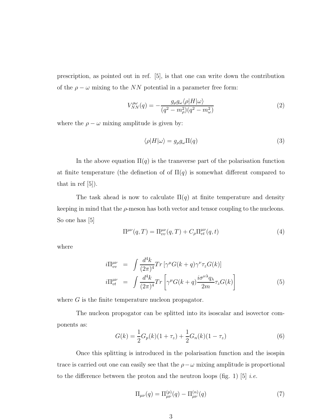prescription, as pointed out in ref. [5], is that one can write down the contribution of the  $\rho - \omega$  mixing to the NN potential in a parameter free form:

$$
V_{NN}^{\rho\omega}(q) = -\frac{g_{\rho}g_{\omega}\langle\rho|H|\omega\rangle}{(q^2 - m_{\rho}^2)(q^2 - m_{\omega}^2)}\tag{2}
$$

where the  $\rho - \omega$  mixing amplitude is given by:

$$
\langle \rho | H | \omega \rangle = g_{\rho} g_{\omega} \Pi(q) \tag{3}
$$

In the above equation  $\Pi(q)$  is the transverse part of the polarisation function at finite temperature (the definetion of of  $\Pi(q)$  is somewhat different compared to that in ref [5]).

The task ahead is now to calculate  $\Pi(q)$  at finite temperature and density keeping in mind that the  $\rho$ -meson has both vector and tensor coupling to the nucleons. So one has [5]

$$
\Pi^{\mu\nu}(q,T) = \Pi^{\mu\nu}_{vv}(q,T) + C_{\rho}\Pi^{\mu\nu}_{vt}(q,t)
$$
\n
$$
\tag{4}
$$

where

$$
i\Pi_{vv}^{\mu\nu} = \int \frac{d^4k}{(2\pi)^4} Tr \left[ \gamma^{\mu} G(k+q) \gamma^{\nu} \tau_z G(k) \right]
$$
  

$$
i\Pi_{vt}^{\mu\nu} = \int \frac{d^4k}{(2\pi)^4} Tr \left[ \gamma^{\mu} G(k+q) \frac{i\sigma^{\nu\lambda} q_{\lambda}}{2m} \tau_z G(k) \right]
$$
(5)

where  $G$  is the finite temperature nucleon propagator.

The nucleon propogator can be splitted into its isoscalar and isovector components as:

$$
G(k) = \frac{1}{2}G_p(k)(1+\tau_z) + \frac{1}{2}G_n(k)(1-\tau_z)
$$
\n(6)

Once this splitting is introduced in the polarisation function and the isospin trace is carried out one can easily see that the  $\rho-\omega$  mixing amplitude is proportional to the difference between the proton and the neutron loops (fig. 1) [5] *i.e.* 

$$
\Pi_{\mu\nu}(q) = \Pi_{\mu\nu}^{(p)}(q) - \Pi_{\mu\nu}^{(n)}(q) \tag{7}
$$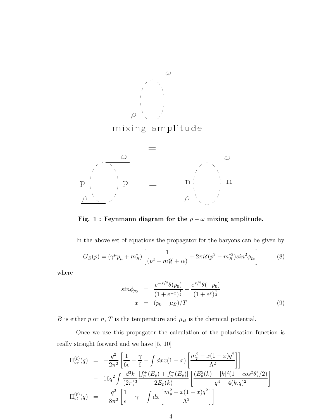

Fig. 1 : Feynmann diagram for the  $\rho - \omega$  mixing amplitude.

In the above set of equations the propagator for the baryons can be given by

$$
G_B(p) = (\gamma^{\mu} p_{\mu} + m_B^*) \left[ \frac{1}{(p^2 - m_B^{*2} + i\epsilon)} + 2\pi i \delta(p^2 - m_B^{*2}) sin^2 \phi_{p_0} \right]
$$
(8)

where

$$
sin \phi_{p_0} = \frac{e^{-x/2}\theta(p_0)}{(1+e^{-x})^{\frac{1}{2}}} - \frac{e^{x/2}\theta(-p_0)}{(1+e^x)^{\frac{1}{2}}}
$$
  

$$
x = (p_0 - \mu_B)/T
$$
 (9)

 $B$  is either  $p$  or  $n,$   $T$  is the temperature and  $\mu_B$  is the chemical potential.

Once we use this propagator the calculation of the polarisation function is really straight forward and we have [5, 10]

$$
\Pi_{vv}^{(p)}(q) = -\frac{q^2}{2\pi^2} \left[ \frac{1}{6\epsilon} - \frac{\gamma}{6} - \int dx x (1-x) \left[ \frac{m_p^2 - x(1-x)q^2}{\Lambda^2} \right] \right] \n- 16q^2 \int \frac{d^3k}{(2\pi)^3} \frac{[f_p^+(E_p) + f_p^-(E_p)]}{2E_p(k)} \left[ \frac{(E_p^2(k) - |k|^2(1 - \cos^2\theta)/2)}{q^4 - 4(k.q)^2} \right] \n\Pi_{vt}^{(p)}(q) = -\frac{q^2}{8\pi^2} \left[ \frac{1}{\epsilon} - \gamma - \int dx \left[ \frac{m_p^2 - x(1-x)q^2}{\Lambda^2} \right] \right]
$$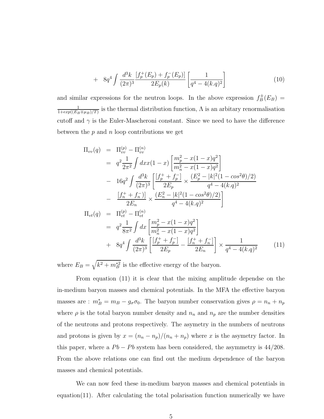+ 
$$
8q^4 \int \frac{d^3k}{(2\pi)^3} \frac{[f_p^+(E_p) + f_p^-(E_p)]}{2E_p(k)} \left[ \frac{1}{q^4 - 4(k.q)^2} \right]
$$
 (10)

and similar expressions for the neutron loops. In the above expression  $f_B^{\pm}(E_B)$  = 1  $\frac{1}{1+exp((E_B\mp \mu_B)/T)}$  is the thermal distribution function,  $\Lambda$  is an arbitary renormalisation cutoff and  $\gamma$  is the Euler-Mascheroni constant. Since we need to have the difference between the  $p$  and  $n$  loop contributions we get

$$
\Pi_{vv}(q) = \Pi_{vv}^{(p)} - \Pi_{vv}^{(n)}
$$
\n
$$
= q^2 \frac{1}{2\pi^2} \int dx x (1-x) \left[ \frac{m_p^2 - x(1-x)q^2}{m_n^2 - x(1-x)q^2} \right]
$$
\n
$$
- 16q^2 \int \frac{d^3k}{(2\pi)^3} \left[ \frac{\left[ f_p^+ + f_p^- \right]}{2E_p} \times \frac{\left( E_p^2 - |k|^2 (1 - \cos^2\theta)/2 \right)}{q^4 - 4(k.q)^2} \right]
$$
\n
$$
- \frac{\left[ f_n^+ + f_n^- \right]}{2E_n} \times \frac{\left( E_n^2 - |k|^2 (1 - \cos^2\theta)/2 \right)}{q^4 - 4(k.q)^2} \right]
$$
\n
$$
\Pi_{vt}(q) = \Pi_{vt}^{(p)} - \Pi_{vt}^{(n)}
$$
\n
$$
= q^2 \frac{1}{8\pi^2} \int dx \left[ \frac{m_p^2 - x(1-x)q^2}{m_n^2 - x(1-x)q^2} \right]
$$
\n
$$
+ 8q^4 \int \frac{d^3k}{(2\pi)^3} \left[ \frac{\left[ f_p^+ + f_p^- \right]}{2E_p} - \frac{\left[ f_n^+ + f_n^- \right]}{2E_n} \right] \times \frac{1}{q^4 - 4(k.q)^2} \tag{11}
$$

where  $E_B = \sqrt{k^2 + m_B^{*2}}$  is the effective energy of the baryon.

From equation (11) it is clear that the mixing amplitude dependse on the in-medium baryon masses and chemical potentials. In the MFA the effective baryon masses are :  $m_B^* = m_B - g_{\sigma} \sigma_0$ . The baryon number conservation gives  $\rho = n_n + n_p$ where  $\rho$  is the total baryon number density and  $n_n$  and  $n_p$  are the number densities of the neutrons and protons respectively. The asymetry in the numbers of neutrons and protons is given by  $x = (n_n - n_p)/(n_n + n_p)$  where x is the asymetry factor. In this paper, where a  $Pb - Pb$  system has been considered, the asymmetry is 44/208. From the above relations one can find out the medium dependence of the baryon masses and chemical potentials.

We can now feed these in-medium baryon masses and chemical potentials in  $equation(11)$ . After calculating the total polarisation function numerically we have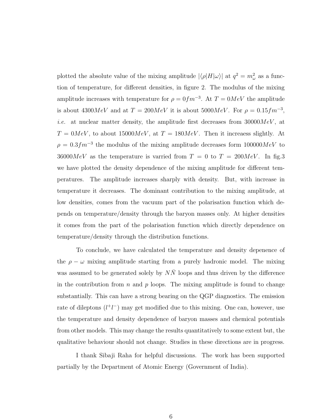plotted the absolute value of the mixing amplitude  $|\langle \rho | H | \omega \rangle|$  at  $q^2 = m_\omega^2$  as a function of temperature, for different densities, in figure 2. The modulus of the mixing amplitude increases with temperature for  $\rho = 0 fm^{-3}$ . At  $T = 0MeV$  the amplitude is about 4300 $MeV$  and at  $T = 200MeV$  it is about 5000 $MeV$ . For  $\rho = 0.15fm^{-3}$ , *i.e.* at nuclear matter density, the amplitude first decreases from  $30000MeV$ , at  $T = 0MeV$ , to about 15000 $MeV$ , at  $T = 180MeV$ . Then it increases slightly. At  $\rho = 0.3 fm^{-3}$  the modulus of the mixing amplitude decreases form  $100000MeV$  to 36000 $MeV$  as the temperature is varried from  $T = 0$  to  $T = 200MeV$ . In fig.3 we have plotted the density dependence of the mixing amplitude for different temperatures. The amplitude increases sharply with density. But, with increase in temperature it decreases. The dominant contribution to the mixing amplitude, at low densities, comes from the vacuum part of the polarisation function which depends on temperature/density through the baryon masses only. At higher densities it comes from the part of the polarisation function which directly dependence on temperature/density through the distribution functions.

To conclude, we have calculated the temperature and density depenence of the  $\rho - \omega$  mixing amplitude starting from a purely hadronic model. The mixing was assumed to be generated solely by  $N\overline{N}$  loops and thus driven by the difference in the contribution from  $n$  and  $p$  loops. The mixing amplitude is found to change substantially. This can have a strong bearing on the QGP diagnostics. The emission rate of dileptons  $(l<sup>+</sup>l<sup>-</sup>)$  may get modified due to this mixing. One can, however, use the temperature and density dependence of baryon masses and chemical potentials from other models. This may change the results quantitatively to some extent but, the qualitative behaviour should not change. Studies in these directions are in progress.

I thank Sibaji Raha for helpful discussions. The work has been supported partially by the Department of Atomic Energy (Government of India).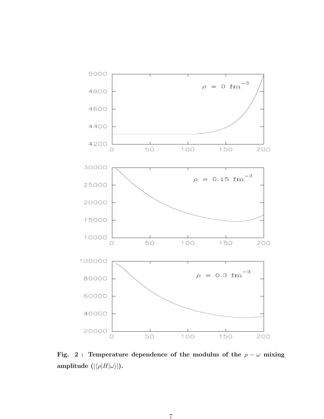

Fig. 2 : Temperature dependence of the modulus of the  $\rho - \omega$  mixing amplitude  $(|\langle \rho | H | \omega \rangle|)$ .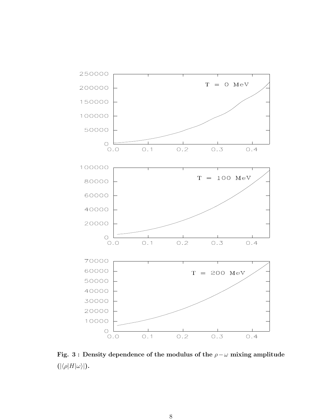

Fig. 3 : Density dependence of the modulus of the  $\rho-\omega$  mixing amplitude  $(|\langle \rho|H|\omega \rangle|)$ .